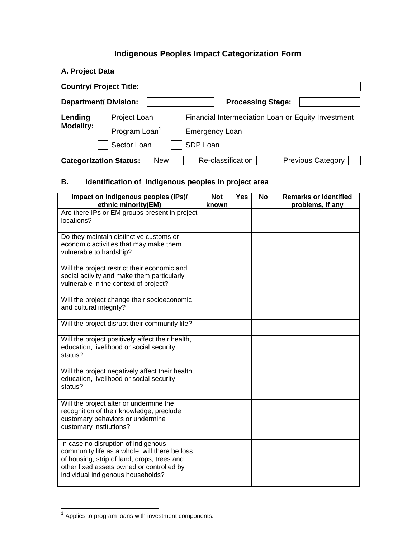# **Indigenous Peoples Impact Categorization Form**

| A. Project Data                                                                              |
|----------------------------------------------------------------------------------------------|
| <b>Country/ Project Title:</b>                                                               |
| <b>Department/ Division:</b><br><b>Processing Stage:</b>                                     |
| Financial Intermediation Loan or Equity Investment<br>Lending<br>Project Loan                |
| <b>Modality:</b><br>Program Loan <sup>1</sup><br><b>Emergency Loan</b>                       |
| Sector Loan<br>SDP Loan                                                                      |
| Re-classification<br><b>Previous Category</b><br><b>Categorization Status:</b><br><b>New</b> |

# **B. Identification of indigenous peoples in project area**

| Impact on indigenous peoples (IPs)/<br>ethnic minority(EM)                                                                                                                                                            | <b>Not</b><br>known | <b>Yes</b> | <b>No</b> | <b>Remarks or identified</b><br>problems, if any |
|-----------------------------------------------------------------------------------------------------------------------------------------------------------------------------------------------------------------------|---------------------|------------|-----------|--------------------------------------------------|
| Are there IPs or EM groups present in project<br>locations?                                                                                                                                                           |                     |            |           |                                                  |
| Do they maintain distinctive customs or<br>economic activities that may make them<br>vulnerable to hardship?                                                                                                          |                     |            |           |                                                  |
| Will the project restrict their economic and<br>social activity and make them particularly<br>vulnerable in the context of project?                                                                                   |                     |            |           |                                                  |
| Will the project change their socioeconomic<br>and cultural integrity?                                                                                                                                                |                     |            |           |                                                  |
| Will the project disrupt their community life?                                                                                                                                                                        |                     |            |           |                                                  |
| Will the project positively affect their health,<br>education, livelihood or social security<br>status?                                                                                                               |                     |            |           |                                                  |
| Will the project negatively affect their health,<br>education, livelihood or social security<br>status?                                                                                                               |                     |            |           |                                                  |
| Will the project alter or undermine the<br>recognition of their knowledge, preclude<br>customary behaviors or undermine<br>customary institutions?                                                                    |                     |            |           |                                                  |
| In case no disruption of indigenous<br>community life as a whole, will there be loss<br>of housing, strip of land, crops, trees and<br>other fixed assets owned or controlled by<br>individual indigenous households? |                     |            |           |                                                  |

 $1$  Applies to program loans with investment components.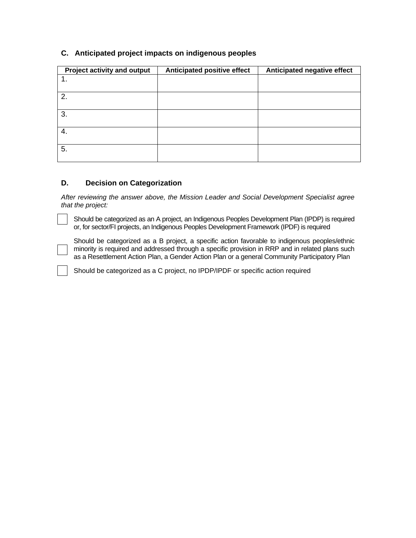| <b>Project activity and output</b> | Anticipated positive effect | Anticipated negative effect |
|------------------------------------|-----------------------------|-----------------------------|
|                                    |                             |                             |
|                                    |                             |                             |
| 2.                                 |                             |                             |
|                                    |                             |                             |
| 3.                                 |                             |                             |
|                                    |                             |                             |
| 4.                                 |                             |                             |
| 5.                                 |                             |                             |
|                                    |                             |                             |

## **C. Anticipated project impacts on indigenous peoples**

### **D. Decision on Categorization**

*After reviewing the answer above, the Mission Leader and Social Development Specialist agree that the project:* 

Should be categorized as an A project, an Indigenous Peoples Development Plan (IPDP) is required or, for sector/FI projects, an Indigenous Peoples Development Framework (IPDF) is required

Should be categorized as a B project, a specific action favorable to indigenous peoples/ethnic minority is required and addressed through a specific provision in RRP and in related plans such as a Resettlement Action Plan, a Gender Action Plan or a general Community Participatory Plan

Should be categorized as a C project, no IPDP/IPDF or specific action required